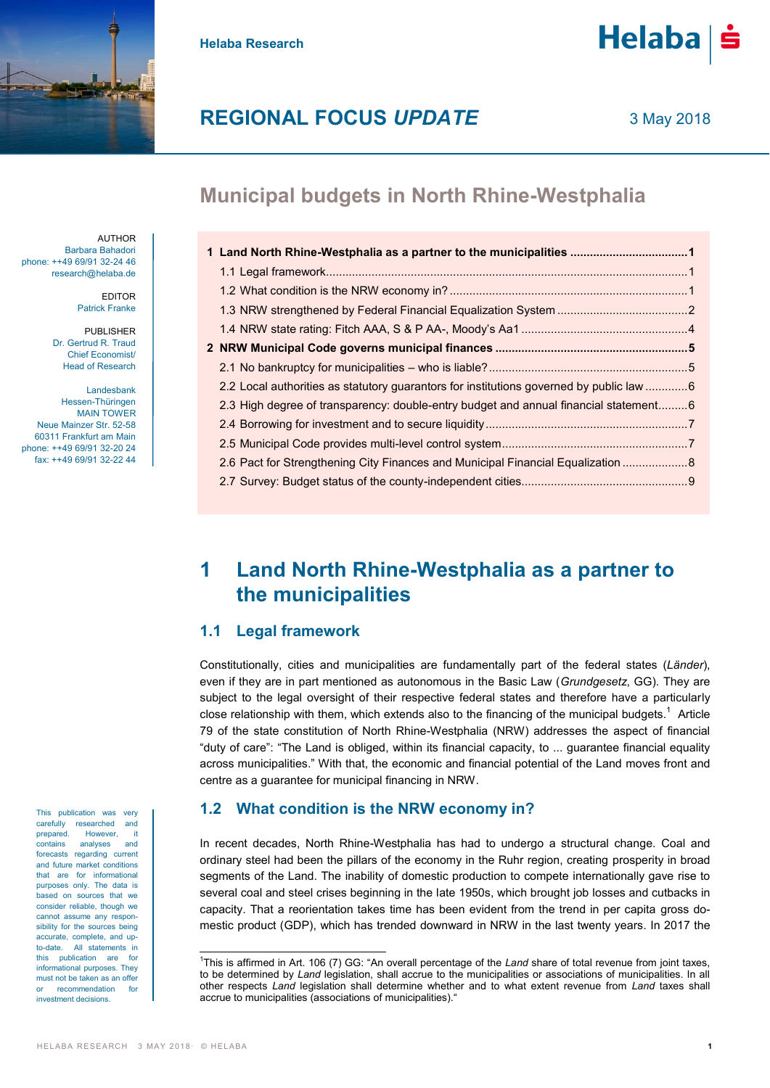



## **REGIONAL FOCUS** *UPDATE*

## **Municipal budgets in North Rhine-Westphalia**

| 1 Land North Rhine-Westphalia as a partner to the municipalities 1                      |  |
|-----------------------------------------------------------------------------------------|--|
|                                                                                         |  |
|                                                                                         |  |
|                                                                                         |  |
|                                                                                         |  |
|                                                                                         |  |
|                                                                                         |  |
| 2.2 Local authorities as statutory guarantors for institutions governed by public law 6 |  |
| 2.3 High degree of transparency: double-entry budget and annual financial statement6    |  |
|                                                                                         |  |
|                                                                                         |  |
| 2.6 Pact for Strengthening City Finances and Municipal Financial Equalization 8         |  |
|                                                                                         |  |

## <span id="page-0-0"></span>**1 Land North Rhine-Westphalia as a partner to the municipalities**

### <span id="page-0-1"></span>**1.1 Legal framework**

Constitutionally, cities and municipalities are fundamentally part of the federal states (*Länder*), even if they are in part mentioned as autonomous in the Basic Law (*Grundgesetz*, GG). They are subject to the legal oversight of their respective federal states and therefore have a particularly close relationship with them, which extends also to the financing of the municipal budgets.<sup>1</sup> Article 79 of the state constitution of North Rhine-Westphalia (NRW) addresses the aspect of financial "duty of care": "The Land is obliged, within its financial capacity, to ... guarantee financial equality across municipalities." With that, the economic and financial potential of the Land moves front and centre as a guarantee for municipal financing in NRW.

### <span id="page-0-2"></span>**1.2 What condition is the NRW economy in?**

In recent decades, North Rhine-Westphalia has had to undergo a structural change. Coal and ordinary steel had been the pillars of the economy in the Ruhr region, creating prosperity in broad segments of the Land. The inability of domestic production to compete internationally gave rise to several coal and steel crises beginning in the late 1950s, which brought job losses and cutbacks in capacity. That a reorientation takes time has been evident from the trend in per capita gross domestic product (GDP), which has trended downward in NRW in the last twenty years. In 2017 the

AUTHOR Barbara Bahadori phone: ++49 69/91 32-24 46 research@helaba.de

> EDITOR Patrick Franke

PUBLISHER Dr. Gertrud R. Traud Chief Economist/ Head of Research

Landesbank Hessen-Thüringen MAIN TOWER Neue Mainzer Str. 52-58 60311 Frankfurt am Main phone: ++49 69/91 32-20 24 fax: ++49 69/91 32-22 44

> This publication was very carefully researched and prepared. However, it<br>contains analyses and contains analyses forecasts regarding current and future market conditions that are for informational purposes only. The data is based on sources that we consider reliable, though we cannot assume any responsibility for the sources being accurate, complete, and upto-date. All statements in this publication are for informational purposes. They must not be taken as an offer recommendation for investment decisions.

 $\overline{a}$ 

<sup>&</sup>lt;sup>1</sup>This is affirmed in Art. 106 (7) GG: "An overall percentage of the *Land* share of total revenue from joint taxes, to be determined by *Land* legislation, shall accrue to the municipalities or associations of municipalities. In all other respects *Land* legislation shall determine whether and to what extent revenue from *Land* taxes shall accrue to municipalities (associations of municipalities)."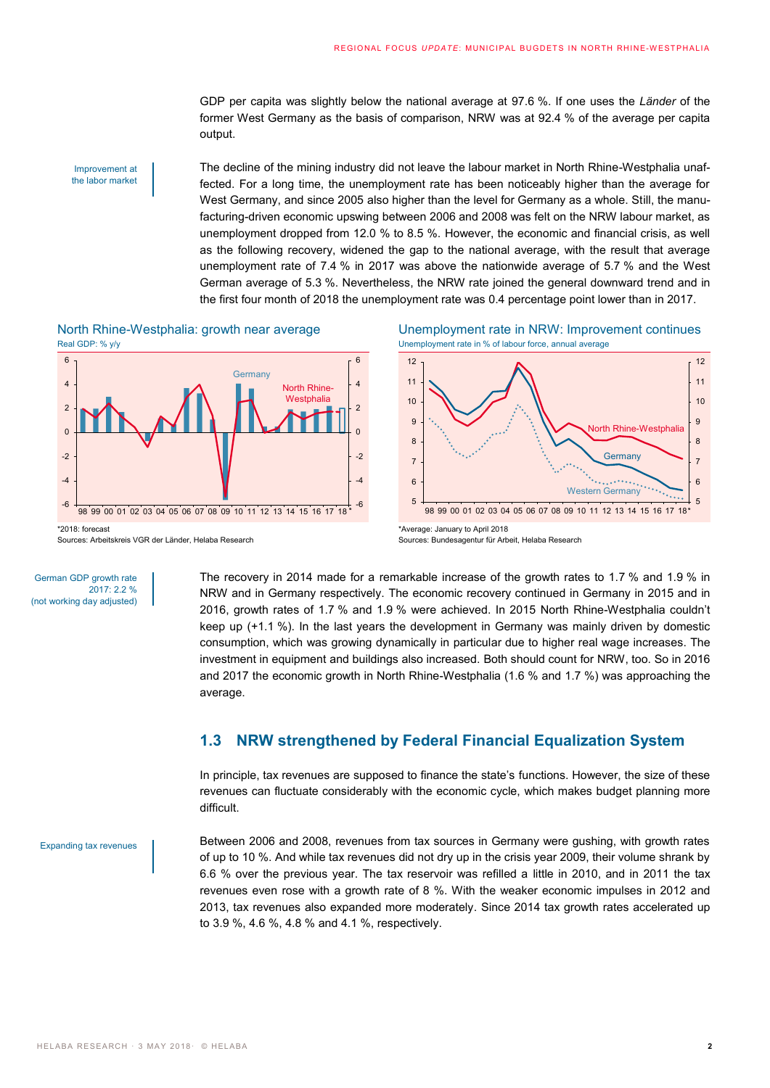GDP per capita was slightly below the national average at 97.6 %. If one uses the *Länder* of the former West Germany as the basis of comparison, NRW was at 92.4 % of the average per capita output.

#### Improvement at the labor market

The decline of the mining industry did not leave the labour market in North Rhine-Westphalia unaffected. For a long time, the unemployment rate has been noticeably higher than the average for West Germany, and since 2005 also higher than the level for Germany as a whole. Still, the manufacturing-driven economic upswing between 2006 and 2008 was felt on the NRW labour market, as unemployment dropped from 12.0 % to 8.5 %. However, the economic and financial crisis, as well as the following recovery, widened the gap to the national average, with the result that average unemployment rate of 7.4 % in 2017 was above the nationwide average of 5.7 % and the West German average of 5.3 %. Nevertheless, the NRW rate joined the general downward trend and in the first four month of 2018 the unemployment rate was 0.4 percentage point lower than in 2017.





North Rhine-Westphalia: growth near average Unemployment rate in NRW: Improvement continues



Sources: Bundesagentur für Arbeit, Helaba Research

German GDP growth rate  $2017: 2.2 \%$ (not working day adjusted) The recovery in 2014 made for a remarkable increase of the growth rates to 1.7 % and 1.9 % in NRW and in Germany respectively. The economic recovery continued in Germany in 2015 and in 2016, growth rates of 1.7 % and 1.9 % were achieved. In 2015 North Rhine-Westphalia couldn't keep up (+1.1 %). In the last years the development in Germany was mainly driven by domestic consumption, which was growing dynamically in particular due to higher real wage increases. The investment in equipment and buildings also increased. Both should count for NRW, too. So in 2016 and 2017 the economic growth in North Rhine-Westphalia (1.6 % and 1.7 %) was approaching the average.

### <span id="page-1-0"></span>**1.3 NRW strengthened by Federal Financial Equalization System**

In principle, tax revenues are supposed to finance the state's functions. However, the size of these revenues can fluctuate considerably with the economic cycle, which makes budget planning more difficult.

Expanding tax revenues

Between 2006 and 2008, revenues from tax sources in Germany were gushing, with growth rates of up to 10 %. And while tax revenues did not dry up in the crisis year 2009, their volume shrank by 6.6 % over the previous year. The tax reservoir was refilled a little in 2010, and in 2011 the tax revenues even rose with a growth rate of 8 %. With the weaker economic impulses in 2012 and 2013, tax revenues also expanded more moderately. Since 2014 tax growth rates accelerated up to 3.9 %, 4.6 %, 4.8 % and 4.1 %, respectively.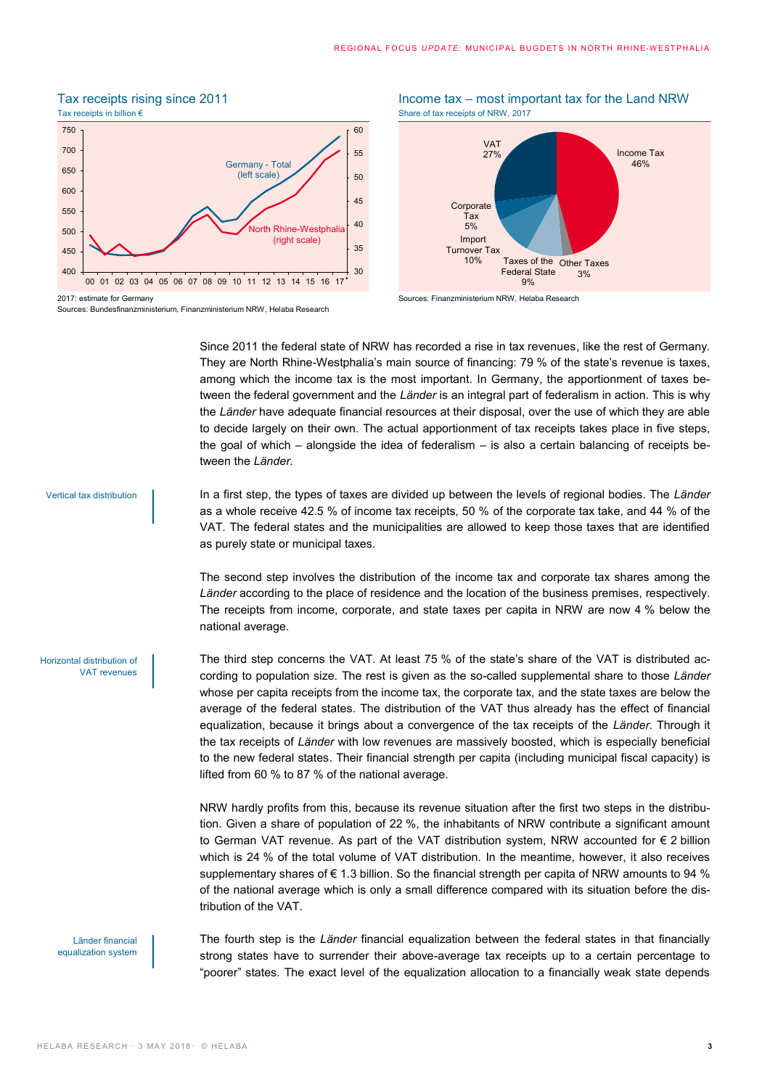## Tax receipts rising since 2011 **Income tax – most important tax for the Land NRW**



Sources: Bundesfinanzministerium, Finanzministerium NRW, Helaba Research





Since 2011 the federal state of NRW has recorded a rise in tax revenues, like the rest of Germany. They are North Rhine-Westphalia's main source of financing: 79 % of the state's revenue is taxes, among which the income tax is the most important. In Germany, the apportionment of taxes between the federal government and the *Länder* is an integral part of federalism in action. This is why the *Länder* have adequate financial resources at their disposal, over the use of which they are able to decide largely on their own. The actual apportionment of tax receipts takes place in five steps, the goal of which – alongside the idea of federalism – is also a certain balancing of receipts between the *Länder*.

Vertical tax distribution

In a first step, the types of taxes are divided up between the levels of regional bodies. The *Länder* as a whole receive 42.5 % of income tax receipts, 50 % of the corporate tax take, and 44 % of the VAT. The federal states and the municipalities are allowed to keep those taxes that are identified as purely state or municipal taxes.

The second step involves the distribution of the income tax and corporate tax shares among the *Länder* according to the place of residence and the location of the business premises, respectively. The receipts from income, corporate, and state taxes per capita in NRW are now 4 % below the national average.

Horizontal distribution of VAT revenues

The third step concerns the VAT. At least 75 % of the state's share of the VAT is distributed according to population size. The rest is given as the so-called supplemental share to those *Länder* whose per capita receipts from the income tax, the corporate tax, and the state taxes are below the average of the federal states. The distribution of the VAT thus already has the effect of financial equalization, because it brings about a convergence of the tax receipts of the *Länder*. Through it the tax receipts of *Länder* with low revenues are massively boosted, which is especially beneficial to the new federal states. Their financial strength per capita (including municipal fiscal capacity) is lifted from 60 % to 87 % of the national average.

NRW hardly profits from this, because its revenue situation after the first two steps in the distribution. Given a share of population of 22 %, the inhabitants of NRW contribute a significant amount to German VAT revenue. As part of the VAT distribution system, NRW accounted for € 2 billion which is 24 % of the total volume of VAT distribution. In the meantime, however, it also receives supplementary shares of  $\epsilon$  1.3 billion. So the financial strength per capita of NRW amounts to 94 % of the national average which is only a small difference compared with its situation before the distribution of the VAT.

Länder financial equalization system The fourth step is the *Länder* financial equalization between the federal states in that financially strong states have to surrender their above-average tax receipts up to a certain percentage to "poorer" states. The exact level of the equalization allocation to a financially weak state depends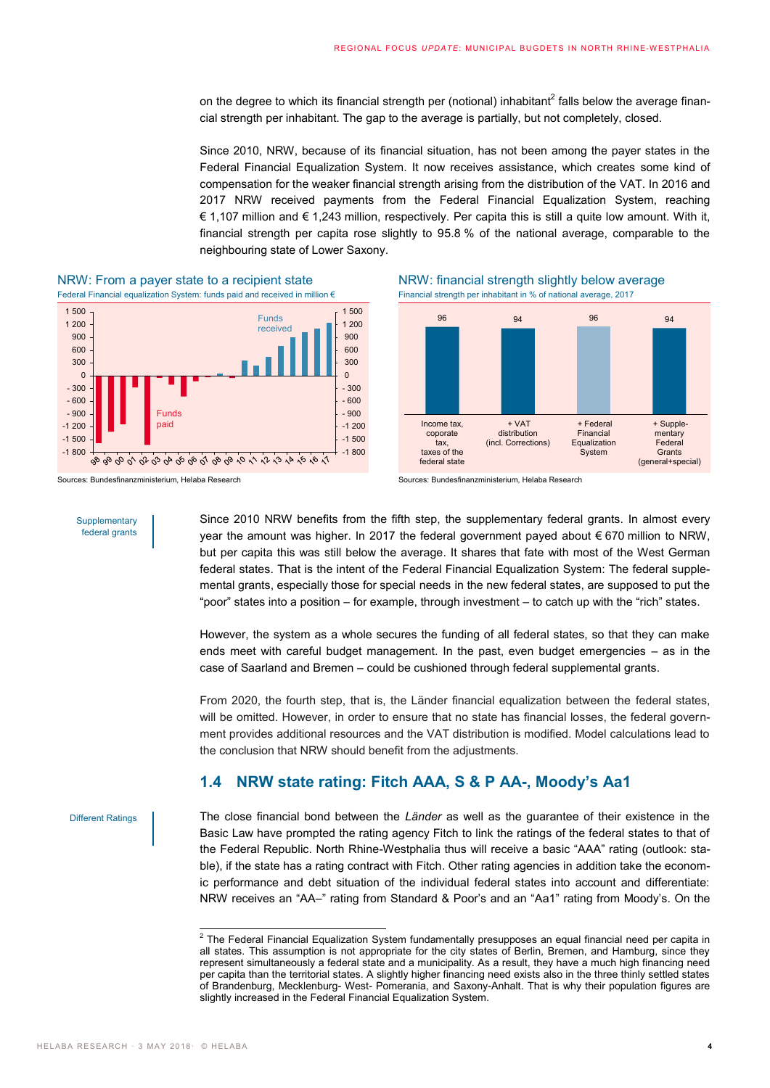on the degree to which its financial strength per (notional) inhabitant<sup>2</sup> falls below the average financial strength per inhabitant. The gap to the average is partially, but not completely, closed.

Since 2010, NRW, because of its financial situation, has not been among the payer states in the Federal Financial Equalization System. It now receives assistance, which creates some kind of compensation for the weaker financial strength arising from the distribution of the VAT. In 2016 and 2017 NRW received payments from the Federal Financial Equalization System, reaching € 1,107 million and € 1,243 million, respectively. Per capita this is still a quite low amount. With it, financial strength per capita rose slightly to 95.8 % of the national average, comparable to the neighbouring state of Lower Saxony.



NRW: From a payer state to a recipient state  $N$ RW: financial strength slightly below average Federal Financial equalization System: funds paid and received in million  $\epsilon$  Financial strength per inhabitant in % of nation Federal Financial equalization System: funds paid and received in million €



96 94 96 94



**Supplementary** federal grants

Since 2010 NRW benefits from the fifth step, the supplementary federal grants. In almost every year the amount was higher. In 2017 the federal government payed about € 670 million to NRW, but per capita this was still below the average. It shares that fate with most of the West German federal states. That is the intent of the Federal Financial Equalization System: The federal supplemental grants, especially those for special needs in the new federal states, are supposed to put the "poor" states into a position – for example, through investment – to catch up with the "rich" states.

However, the system as a whole secures the funding of all federal states, so that they can make ends meet with careful budget management. In the past, even budget emergencies – as in the case of Saarland and Bremen – could be cushioned through federal supplemental grants.

From 2020, the fourth step, that is, the Länder financial equalization between the federal states, will be omitted. However, in order to ensure that no state has financial losses, the federal government provides additional resources and the VAT distribution is modified. Model calculations lead to the conclusion that NRW should benefit from the adjustments.

### <span id="page-3-0"></span>**1.4 NRW state rating: Fitch AAA, S & P AA-, Moody's Aa1**

Different Ratings

The close financial bond between the *Länder* as well as the guarantee of their existence in the Basic Law have prompted the rating agency Fitch to link the ratings of the federal states to that of the Federal Republic. North Rhine-Westphalia thus will receive a basic "AAA" rating (outlook: stable), if the state has a rating contract with Fitch. Other rating agencies in addition take the economic performance and debt situation of the individual federal states into account and differentiate: NRW receives an "AA–" rating from Standard & Poor's and an "Aa1" rating from Moody's. On the

 2 The Federal Financial Equalization System fundamentally presupposes an equal financial need per capita in all states. This assumption is not appropriate for the city states of Berlin, Bremen, and Hamburg, since they represent simultaneously a federal state and a municipality. As a result, they have a much high financing need per capita than the territorial states. A slightly higher financing need exists also in the three thinly settled states of Brandenburg, Mecklenburg- West- Pomerania, and Saxony-Anhalt. That is why their population figures are slightly increased in the Federal Financial Equalization System.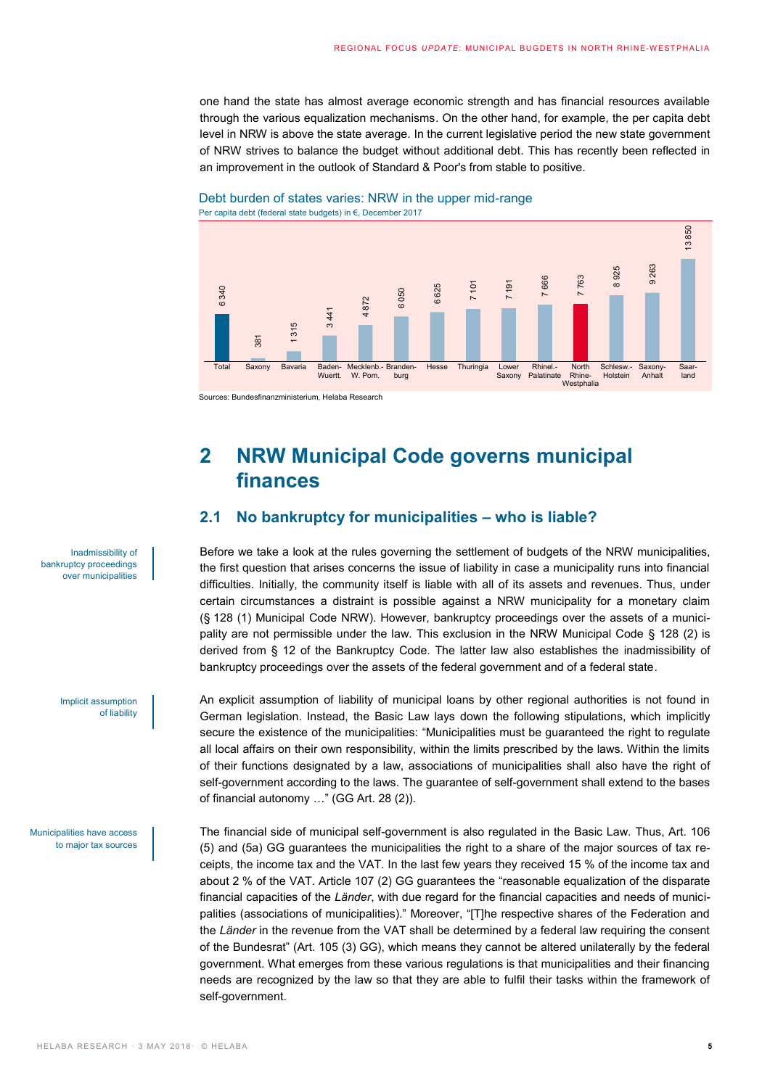one hand the state has almost average economic strength and has financial resources available through the various equalization mechanisms. On the other hand, for example, the per capita debt level in NRW is above the state average. In the current legislative period the new state government of NRW strives to balance the budget without additional debt. This has recently been reflected in an improvement in the outlook of Standard & Poor's from stable to positive.





Sources: Bundesfinanzministerium, Helaba Research

# <span id="page-4-0"></span>**2 NRW Municipal Code governs municipal finances**

## <span id="page-4-1"></span>**2.1 No bankruptcy for municipalities – who is liable?**

Before we take a look at the rules governing the settlement of budgets of the NRW municipalities, the first question that arises concerns the issue of liability in case a municipality runs into financial difficulties. Initially, the community itself is liable with all of its assets and revenues. Thus, under certain circumstances a distraint is possible against a NRW municipality for a monetary claim (§ 128 (1) Municipal Code NRW). However, bankruptcy proceedings over the assets of a municipality are not permissible under the law. This exclusion in the NRW Municipal Code § 128 (2) is derived from § 12 of the Bankruptcy Code. The latter law also establishes the inadmissibility of bankruptcy proceedings over the assets of the federal government and of a federal state.

An explicit assumption of liability of municipal loans by other regional authorities is not found in German legislation. Instead, the Basic Law lays down the following stipulations, which implicitly secure the existence of the municipalities: "Municipalities must be guaranteed the right to regulate all local affairs on their own responsibility, within the limits prescribed by the laws. Within the limits of their functions designated by a law, associations of municipalities shall also have the right of self-government according to the laws. The guarantee of self-government shall extend to the bases of financial autonomy …" (GG Art. 28 (2)).

The financial side of municipal self-government is also regulated in the Basic Law. Thus, Art. 106 (5) and (5a) GG guarantees the municipalities the right to a share of the major sources of tax receipts, the income tax and the VAT. In the last few years they received 15 % of the income tax and about 2 % of the VAT. Article 107 (2) GG guarantees the "reasonable equalization of the disparate financial capacities of the *Länder*, with due regard for the financial capacities and needs of municipalities (associations of municipalities)." Moreover, "[T]he respective shares of the Federation and the *Länder* in the revenue from the VAT shall be determined by a federal law requiring the consent of the Bundesrat" (Art. 105 (3) GG), which means they cannot be altered unilaterally by the federal government. What emerges from these various regulations is that municipalities and their financing needs are recognized by the law so that they are able to fulfil their tasks within the framework of self-government. Self-government. For the control of the self-government. Self-government. Self-government. What an expected is the flat of the self-government. The self-government is a self-government of the self-governm

Inadmissibility of bankruptcy proceedings over municipalities

> Implicit assumption of liability

Municipalities have access to major tax sources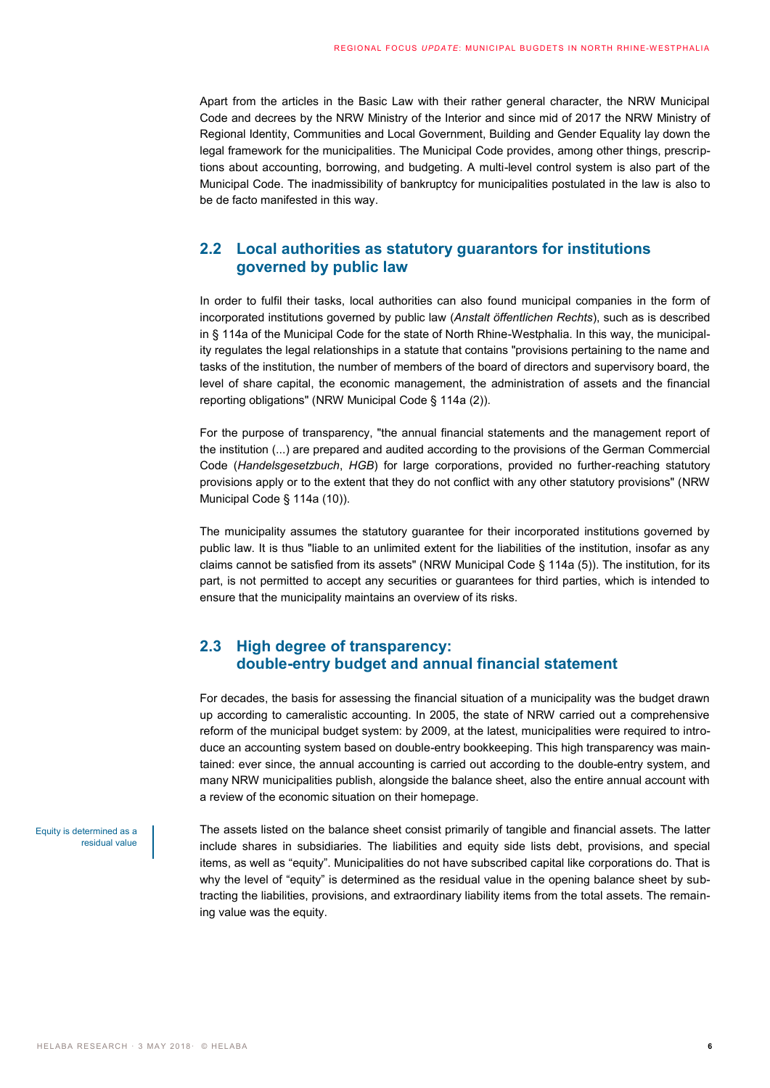Apart from the articles in the Basic Law with their rather general character, the NRW Municipal Code and decrees by the NRW Ministry of the Interior and since mid of 2017 the NRW Ministry of Regional Identity, Communities and Local Government, Building and Gender Equality lay down the legal framework for the municipalities. The Municipal Code provides, among other things, prescriptions about accounting, borrowing, and budgeting. A multi-level control system is also part of the Municipal Code. The inadmissibility of bankruptcy for municipalities postulated in the law is also to be de facto manifested in this way.

### <span id="page-5-0"></span>**2.2 Local authorities as statutory guarantors for institutions governed by public law**

In order to fulfil their tasks, local authorities can also found municipal companies in the form of incorporated institutions governed by public law (*Anstalt öffentlichen Rechts*), such as is described in § 114a of the Municipal Code for the state of North Rhine-Westphalia. In this way, the municipality regulates the legal relationships in a statute that contains "provisions pertaining to the name and tasks of the institution, the number of members of the board of directors and supervisory board, the level of share capital, the economic management, the administration of assets and the financial reporting obligations" (NRW Municipal Code § 114a (2)).

For the purpose of transparency, "the annual financial statements and the management report of the institution (...) are prepared and audited according to the provisions of the German Commercial Code (*Handelsgesetzbuch*, *HGB*) for large corporations, provided no further-reaching statutory provisions apply or to the extent that they do not conflict with any other statutory provisions" (NRW Municipal Code § 114a (10)).

The municipality assumes the statutory guarantee for their incorporated institutions governed by public law. It is thus "liable to an unlimited extent for the liabilities of the institution, insofar as any claims cannot be satisfied from its assets" (NRW Municipal Code § 114a (5)). The institution, for its part, is not permitted to accept any securities or guarantees for third parties, which is intended to ensure that the municipality maintains an overview of its risks.

### <span id="page-5-1"></span>**2.3 High degree of transparency: double-entry budget and annual financial statement**

For decades, the basis for assessing the financial situation of a municipality was the budget drawn up according to cameralistic accounting. In 2005, the state of NRW carried out a comprehensive reform of the municipal budget system: by 2009, at the latest, municipalities were required to introduce an accounting system based on double-entry bookkeeping. This high transparency was maintained: ever since, the annual accounting is carried out according to the double-entry system, and many NRW municipalities publish, alongside the balance sheet, also the entire annual account with a review of the economic situation on their homepage.

Equity is determined as a residual value

The assets listed on the balance sheet consist primarily of tangible and financial assets. The latter include shares in subsidiaries. The liabilities and equity side lists debt, provisions, and special items, as well as "equity". Municipalities do not have subscribed capital like corporations do. That is why the level of "equity" is determined as the residual value in the opening balance sheet by subtracting the liabilities, provisions, and extraordinary liability items from the total assets. The remaining value was the equity.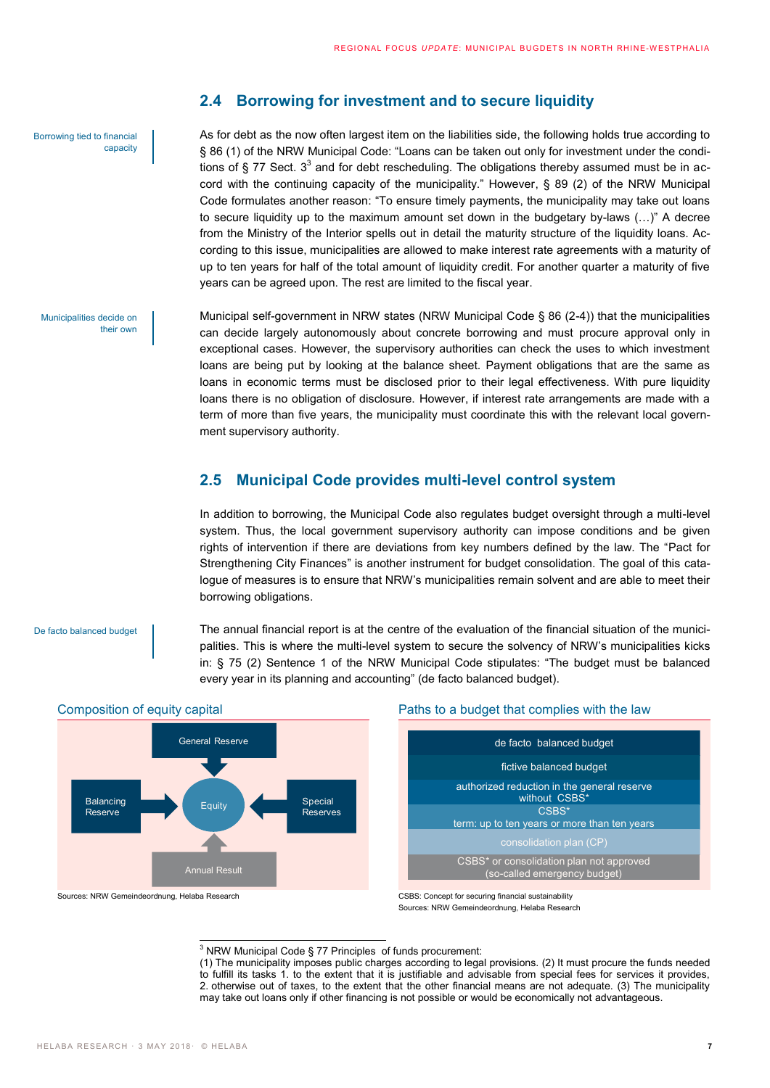#### Borrowing tied to financial capacity

Municipalities decide on

their own

### <span id="page-6-0"></span>**2.4 Borrowing for investment and to secure liquidity**

As for debt as the now often largest item on the liabilities side, the following holds true according to § 86 (1) of the NRW Municipal Code: "Loans can be taken out only for investment under the conditions of § 77 Sect. 3<sup>3</sup> and for debt rescheduling. The obligations thereby assumed must be in accord with the continuing capacity of the municipality." However, § 89 (2) of the NRW Municipal Code formulates another reason: "To ensure timely payments, the municipality may take out loans to secure liquidity up to the maximum amount set down in the budgetary by-laws (…)" A decree from the Ministry of the Interior spells out in detail the maturity structure of the liquidity loans. According to this issue, municipalities are allowed to make interest rate agreements with a maturity of up to ten years for half of the total amount of liquidity credit. For another quarter a maturity of five years can be agreed upon. The rest are limited to the fiscal year.

Municipal self-government in NRW states (NRW Municipal Code § 86 (2-4)) that the municipalities can decide largely autonomously about concrete borrowing and must procure approval only in exceptional cases. However, the supervisory authorities can check the uses to which investment loans are being put by looking at the balance sheet. Payment obligations that are the same as loans in economic terms must be disclosed prior to their legal effectiveness. With pure liquidity loans there is no obligation of disclosure. However, if interest rate arrangements are made with a term of more than five years, the municipality must coordinate this with the relevant local government supervisory authority.

### <span id="page-6-1"></span>**2.5 Municipal Code provides multi-level control system**

In addition to borrowing, the Municipal Code also regulates budget oversight through a multi-level system. Thus, the local government supervisory authority can impose conditions and be given rights of intervention if there are deviations from key numbers defined by the law. The "Pact for Strengthening City Finances" is another instrument for budget consolidation. The goal of this catalogue of measures is to ensure that NRW's municipalities remain solvent and are able to meet their borrowing obligations.

De facto balanced budget





### Composition of equity capital Paths to a budget that complies with the law



Sources: NRW Gemeindeordnung, Helaba Research CSBS: Concept for securing financial sustainability Sources: NRW Gemeindeordnung, Helaba Research

> $\overline{a}$  $3$  NRW Municipal Code § 77 Principles of funds procurement:

(1) The municipality imposes public charges according to legal provisions. (2) It must procure the funds needed to fulfill its tasks 1. to the extent that it is justifiable and advisable from special fees for services it provides, 2. otherwise out of taxes, to the extent that the other financial means are not adequate. (3) The municipality may take out loans only if other financing is not possible or would be economically not advantageous.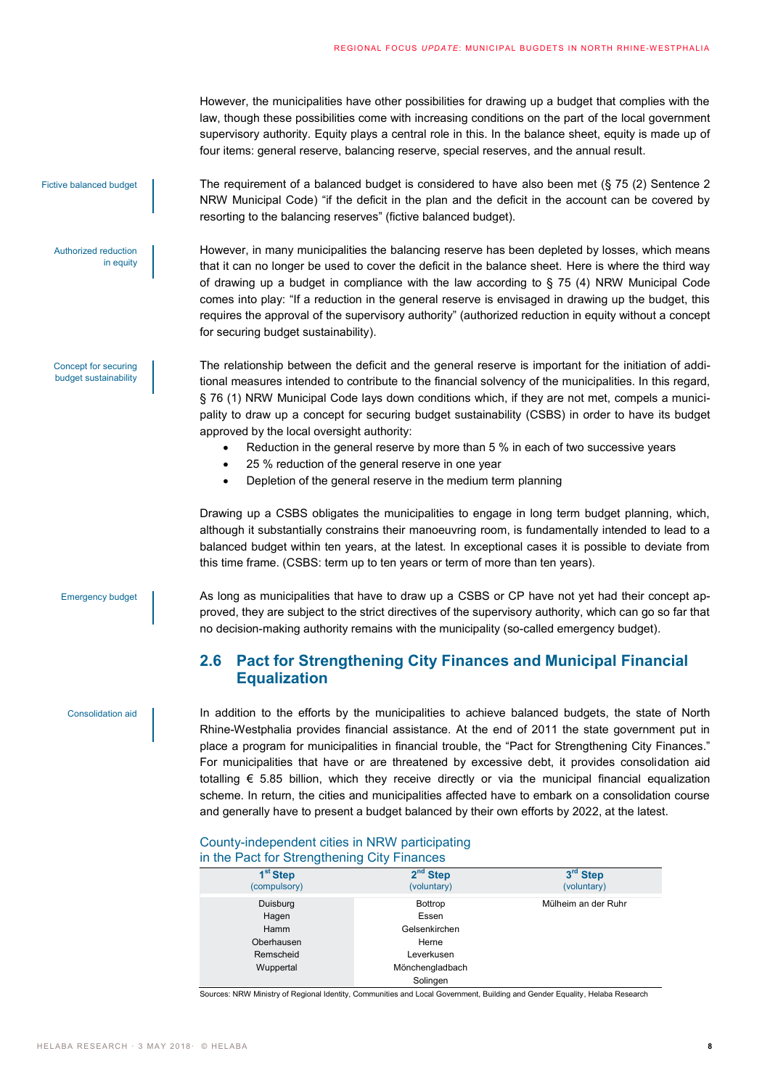However, the municipalities have other possibilities for drawing up a budget that complies with the law, though these possibilities come with increasing conditions on the part of the local government supervisory authority. Equity plays a central role in this. In the balance sheet, equity is made up of four items: general reserve, balancing reserve, special reserves, and the annual result.

Fictive balanced budget

Authorized reduction

Concept for securing budget sustainability

in equity

The requirement of a balanced budget is considered to have also been met (§ 75 (2) Sentence 2 NRW Municipal Code) "if the deficit in the plan and the deficit in the account can be covered by resorting to the balancing reserves" (fictive balanced budget).

However, in many municipalities the balancing reserve has been depleted by losses, which means that it can no longer be used to cover the deficit in the balance sheet. Here is where the third way of drawing up a budget in compliance with the law according to  $\S$  75 (4) NRW Municipal Code comes into play: "If a reduction in the general reserve is envisaged in drawing up the budget, this requires the approval of the supervisory authority" (authorized reduction in equity without a concept for securing budget sustainability).

The relationship between the deficit and the general reserve is important for the initiation of additional measures intended to contribute to the financial solvency of the municipalities. In this regard, § 76 (1) NRW Municipal Code lays down conditions which, if they are not met, compels a municipality to draw up a concept for securing budget sustainability (CSBS) in order to have its budget approved by the local oversight authority:

- Reduction in the general reserve by more than 5 % in each of two successive years
- 25 % reduction of the general reserve in one year
- Depletion of the general reserve in the medium term planning

Drawing up a CSBS obligates the municipalities to engage in long term budget planning, which, although it substantially constrains their manoeuvring room, is fundamentally intended to lead to a balanced budget within ten years, at the latest. In exceptional cases it is possible to deviate from this time frame. (CSBS: term up to ten years or term of more than ten years).

#### Emergency budget

Consolidation aid

As long as municipalities that have to draw up a CSBS or CP have not yet had their concept approved, they are subject to the strict directives of the supervisory authority, which can go so far that no decision-making authority remains with the municipality (so-called emergency budget).

## <span id="page-7-0"></span>**2.6 Pact for Strengthening City Finances and Municipal Financial Equalization**

In addition to the efforts by the municipalities to achieve balanced budgets, the state of North Rhine-Westphalia provides financial assistance. At the end of 2011 the state government put in place a program for municipalities in financial trouble, the "Pact for Strengthening City Finances." For municipalities that have or are threatened by excessive debt, it provides consolidation aid totalling  $\epsilon$  5.85 billion, which they receive directly or via the municipal financial equalization scheme. In return, the cities and municipalities affected have to embark on a consolidation course and generally have to present a budget balanced by their own efforts by 2022, at the latest.

### County-independent cities in NRW participating in the Pact for Strengthening City Finances

| 1 <sup>st</sup> Step<br>(compulsory) | $2nd$ Step<br>(voluntary) | 3rd Step<br>(voluntary) |
|--------------------------------------|---------------------------|-------------------------|
| Duisburg                             | Bottrop                   | Mülheim an der Ruhr     |
| Hagen                                | Essen                     |                         |
| Hamm                                 | Gelsenkirchen             |                         |
| Oberhausen                           | Herne                     |                         |
| Remscheid                            | Leverkusen                |                         |
| Wuppertal                            | Mönchengladbach           |                         |
|                                      | Solingen                  |                         |

Sources: NRW Ministry of Regional Identity, Communities and Local Government, Building and Gender Equality, Helaba Research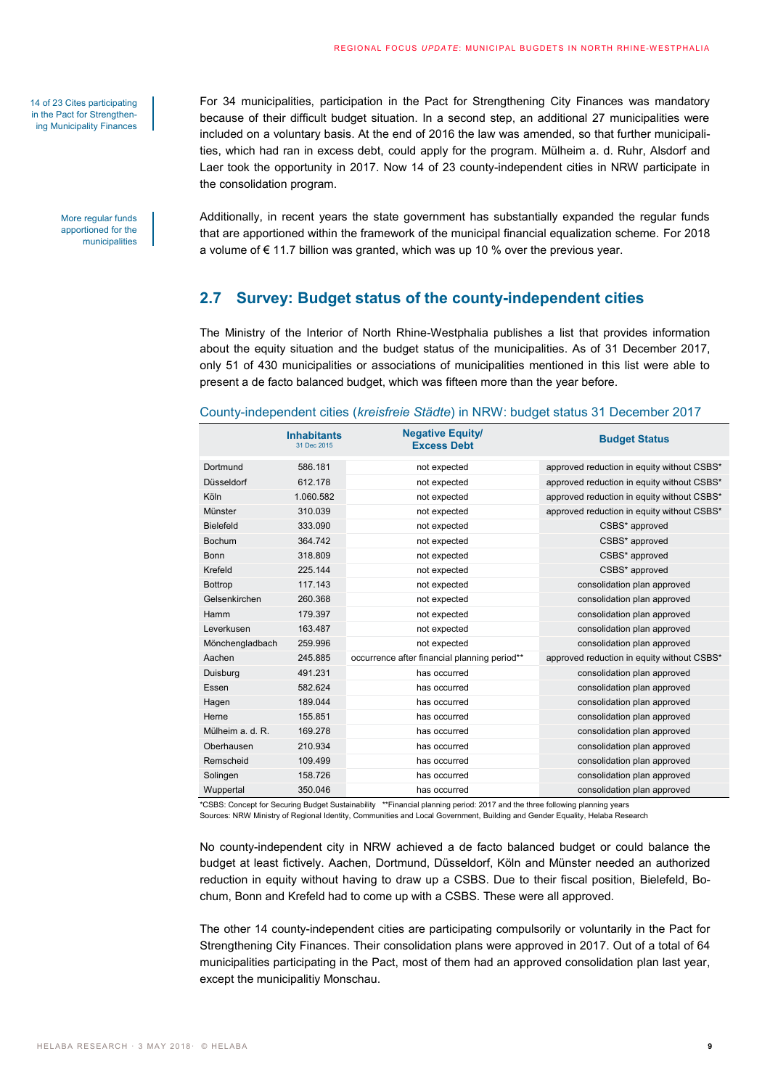14 of 23 Cites participating in the Pact for Strengthening Municipality Finances

> More regular funds apportioned for the municipalities

For 34 municipalities, participation in the Pact for Strengthening City Finances was mandatory because of their difficult budget situation. In a second step, an additional 27 municipalities were included on a voluntary basis. At the end of 2016 the law was amended, so that further municipalities, which had ran in excess debt, could apply for the program. Mülheim a. d. Ruhr, Alsdorf and Laer took the opportunity in 2017. Now 14 of 23 county-independent cities in NRW participate in the consolidation program.

Additionally, in recent years the state government has substantially expanded the regular funds that are apportioned within the framework of the municipal financial equalization scheme. For 2018 a volume of € 11.7 billion was granted, which was up 10 % over the previous year.

### <span id="page-8-0"></span>**2.7 Survey: Budget status of the county-independent cities**

The Ministry of the Interior of North Rhine-Westphalia publishes a list that provides information about the equity situation and the budget status of the municipalities. As of 31 December 2017, only 51 of 430 municipalities or associations of municipalities mentioned in this list were able to present a de facto balanced budget, which was fifteen more than the year before.

#### County-independent cities (*kreisfreie Städte*) in NRW: budget status 31 December 2017

|                  | <b>Inhabitants</b><br>31 Dec 2015 | <b>Negative Equity/</b><br><b>Excess Debt</b> | <b>Budget Status</b>                       |
|------------------|-----------------------------------|-----------------------------------------------|--------------------------------------------|
| Dortmund         | 586.181                           | not expected                                  | approved reduction in equity without CSBS* |
| Düsseldorf       | 612.178                           | not expected                                  | approved reduction in equity without CSBS* |
| Köln             | 1.060.582                         | not expected                                  | approved reduction in equity without CSBS* |
| Münster          | 310.039                           | not expected                                  | approved reduction in equity without CSBS* |
| Bielefeld        | 333.090                           | not expected                                  | CSBS* approved                             |
| <b>Bochum</b>    | 364.742                           | not expected                                  | CSBS* approved                             |
| Bonn             | 318.809                           | not expected                                  | CSBS* approved                             |
| Krefeld          | 225.144                           | not expected                                  | CSBS* approved                             |
| <b>Bottrop</b>   | 117.143                           | not expected                                  | consolidation plan approved                |
| Gelsenkirchen    | 260.368                           | not expected                                  | consolidation plan approved                |
| Hamm             | 179.397                           | not expected                                  | consolidation plan approved                |
| Leverkusen       | 163.487                           | not expected                                  | consolidation plan approved                |
| Mönchengladbach  | 259.996                           | not expected                                  | consolidation plan approved                |
| Aachen           | 245.885                           | occurrence after financial planning period**  | approved reduction in equity without CSBS* |
| Duisburg         | 491.231                           | has occurred                                  | consolidation plan approved                |
| Essen            | 582.624                           | has occurred                                  | consolidation plan approved                |
| Hagen            | 189.044                           | has occurred                                  | consolidation plan approved                |
| Herne            | 155.851                           | has occurred                                  | consolidation plan approved                |
| Mülheim a. d. R. | 169.278                           | has occurred                                  | consolidation plan approved                |
| Oberhausen       | 210.934                           | has occurred                                  | consolidation plan approved                |
| Remscheid        | 109.499                           | has occurred                                  | consolidation plan approved                |
| Solingen         | 158.726                           | has occurred                                  | consolidation plan approved                |
| Wuppertal        | 350.046                           | has occurred                                  | consolidation plan approved                |

\*CSBS: Concept for Securing Budget Sustainability \*\*Financial planning period: 2017 and the three following planning years Sources: NRW Ministry of Regional Identity, Communities and Local Government, Building and Gender Equality, Helaba Research

No county-independent city in NRW achieved a de facto balanced budget or could balance the budget at least fictively. Aachen, Dortmund, Düsseldorf, Köln and Münster needed an authorized reduction in equity without having to draw up a CSBS. Due to their fiscal position, Bielefeld, Bochum, Bonn and Krefeld had to come up with a CSBS. These were all approved.

The other 14 county-independent cities are participating compulsorily or voluntarily in the Pact for Strengthening City Finances. Their consolidation plans were approved in 2017. Out of a total of 64 municipalities participating in the Pact, most of them had an approved consolidation plan last year, except the municipalitiy Monschau.